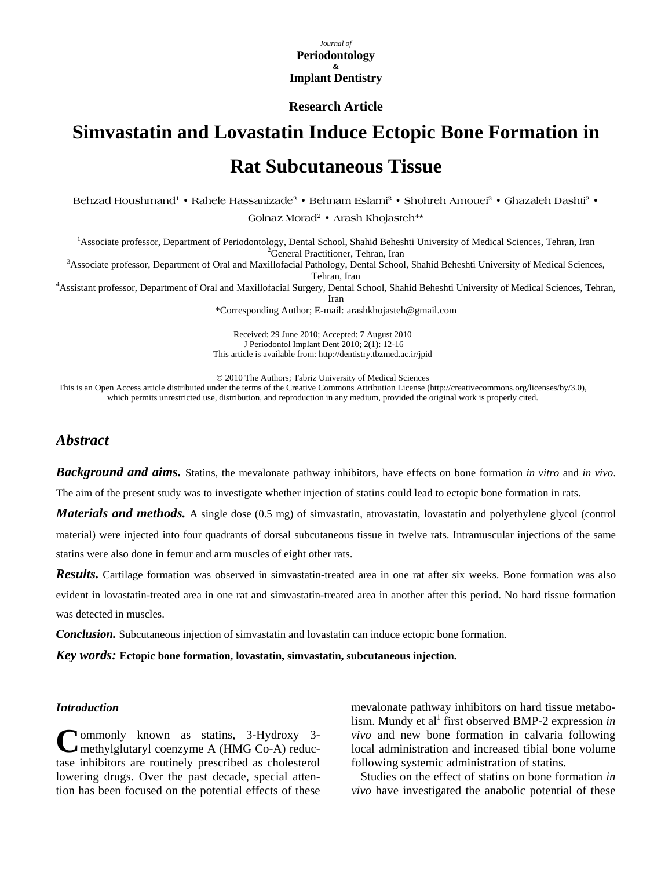*Journal of*  **Periodontology & Implant Dentistry** 

**Research Article** 

# **Simvastatin and Lovastatin Induce Ectopic Bone Formation in Rat Subcutaneous Tissue**

**Behzad Houshmand1 • Rahele Hassanizade2 • Behnam Eslami3 • Shohreh Amouei2 • Ghazaleh Dashti2 •** 

Golnaz Morad<sup>2</sup> • Arash Khojasteh<sup>4\*</sup>

<sup>1</sup> Associate professor, Department of Periodontology, Dental School, Shahid Beheshti University of Medical Sciences, Tehran, Iran <sup>2</sup> Congress<sup>2</sup> Congress<sup>2</sup> Properties Tehran, Iran

<sup>2</sup>General Practitioner, Tehran, Iran<br><sup>3</sup>Associate professor, Department of Oral and Maxillofacial Pathology, Dental School, Shahid Beheshti University of Medical Sciences,

Tehran, Iran<br>4 Assistant professor, Department of Oral and Maxillofacial Surgery, Dental School, Shahid Beheshti University of Medical Sciences, Tehran, Iran

\*Corresponding Author; E-mail: [arashkhojasteh@gmail.com](mailto:arashkhojasteh@yahoo.com) 

Received: 29 June 2010; Accepted: 7 August 2010 J Periodontol Implant Dent 2010; 2(1): 12-16 This article is available from: <http://dentistry.tbzmed.ac.ir/jpid>

© 2010 The Authors; Tabriz University of Medical Sciences

This is an Open Access article distributed under the terms of the Creative Commons Attribution License (<http://creativecommons.org/licenses/by/3.0>), which permits unrestricted use, distribution, and reproduction in any medium, provided the original work is properly cited.

# *Abstract*

*Background and aims.* Statins, the mevalonate pathway inhibitors, have effects on bone formation *in vitro* and *in vivo*.

The aim of the present study was to investigate whether injection of statins could lead to ectopic bone formation in rats.

*Materials and methods.* A single dose (0.5 mg) of simvastatin, atrovastatin, lovastatin and polyethylene glycol (control material) were injected into four quadrants of dorsal subcutaneous tissue in twelve rats. Intramuscular injections of the same statins were also done in femur and arm muscles of eight other rats.

*Results.* Cartilage formation was observed in simvastatin-treated area in one rat after six weeks. Bone formation was also evident in lovastatin-treated area in one rat and simvastatin-treated area in another after this period. No hard tissue formation was detected in muscles.

*Conclusion.* Subcutaneous injection of simvastatin and lovastatin can induce ectopic bone formation.

*Key words:* **Ectopic bone formation, lovastatin, simvastatin, subcutaneous injection.** 

## *Introduction*

Commonly known as statins, 3-Hydroxy 3-<br>
C methylglutaryl coenzyme A (HMG Co-A) reducmethylglutaryl coenzyme A (HMG Co-A) reductase inhibitors are routinely prescribed as cholesterol lowering drugs. Over the past decade, special attention has been focused on the potential effects of these mevalonate pathway inhibitors on hard tissue metabolism. Mundy et al<sup>1</sup> first observed BMP-2 expression *in vivo* and new bone formation in calvaria following local administration and increased tibial bone volume following systemic administration of statins.

Studies on the effect of statins on bone formation *in vivo* have investigated the anabolic potential of these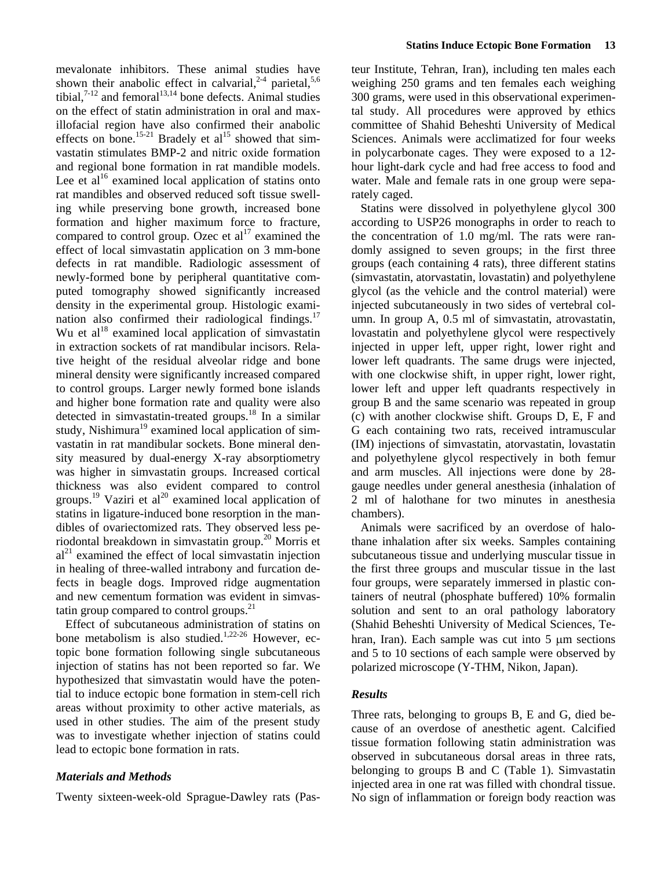mevalonate inhibitors. These animal studies have shown their anabolic effect in calvarial,<sup>2-4</sup> parietal,<sup>5,6</sup> tibial, $7-12$  and femoral<sup>13,14</sup> bone defects. Animal studies on the effect of statin administration in oral and maxillofacial region have also confirmed their anabolic effects on bone.<sup>15-21</sup> Bradely et al<sup>15</sup> showed that simvastatin stimulates BMP-2 and nitric oxide formation and regional bone formation in rat mandible models. Lee et  $al<sup>16</sup>$  examined local application of statins onto rat mandibles and observed reduced soft tissue swelling while preserving bone growth, increased bone formation and higher maximum force to fracture, compared to control group. Ozec et  $al<sup>17</sup>$  examined the effect of local simvastatin application on 3 mm-bone defects in rat mandible. Radiologic assessment of newly-formed bone by peripheral quantitative computed tomography showed significantly increased density in the experimental group. Histologic examination also confirmed their radiological findings. $17$ Wu et  $al^{18}$  examined local application of simvastatin in extraction sockets of rat mandibular incisors. Relative height of the residual alveolar ridge and bone mineral density were significantly increased compared to control groups. Larger newly formed bone islands and higher bone formation rate and quality were also detected in simvastatin-treated groups.<sup>18</sup> In a similar study, Nishimura<sup>19</sup> examined local application of simvastatin in rat mandibular sockets. Bone mineral density measured by dual-energy X-ray absorptiometry was higher in simvastatin groups. Increased cortical thickness was also evident compared to control groups.<sup>19</sup> Vaziri et al<sup>20</sup> examined local application of statins in ligature-induced bone resorption in the mandibles of ovariectomized rats. They observed less periodontal breakdown in simvastatin group.20 Morris et  $al<sup>21</sup>$  examined the effect of local simvastatin injection in healing of three-walled intrabony and furcation defects in beagle dogs. Improved ridge augmentation and new cementum formation was evident in simvastatin group compared to control groups. $^{21}$ 

Effect of subcutaneous administration of statins on bone metabolism is also studied.<sup>1,22-26</sup> However, ectopic bone formation following single subcutaneous injection of statins has not been reported so far. We hypothesized that simvastatin would have the potential to induce ectopic bone formation in stem-cell rich areas without proximity to other active materials, as used in other studies. The aim of the present study was to investigate whether injection of statins could lead to ectopic bone formation in rats.

# *Materials and Methods*

Twenty sixteen-week-old Sprague-Dawley rats (Pas-

teur Institute, Tehran, Iran), including ten males each weighing 250 grams and ten females each weighing 300 grams, were used in this observational experimental study. All procedures were approved by ethics committee of Shahid Beheshti University of Medical Sciences. Animals were acclimatized for four weeks in polycarbonate cages. They were exposed to a 12 hour light-dark cycle and had free access to food and water. Male and female rats in one group were separately caged.

Statins were dissolved in polyethylene glycol 300 according to USP26 monographs in order to reach to the concentration of 1.0 mg/ml. The rats were randomly assigned to seven groups; in the first three groups (each containing 4 rats), three different statins (simvastatin, atorvastatin, lovastatin) and polyethylene glycol (as the vehicle and the control material) were injected subcutaneously in two sides of vertebral column. In group A, 0.5 ml of simvastatin, atrovastatin, lovastatin and polyethylene glycol were respectively injected in upper left, upper right, lower right and lower left quadrants. The same drugs were injected, with one clockwise shift, in upper right, lower right, lower left and upper left quadrants respectively in group B and the same scenario was repeated in group (c) with another clockwise shift. Groups D, E, F and G each containing two rats, received intramuscular (IM) injections of simvastatin, atorvastatin, lovastatin and polyethylene glycol respectively in both femur and arm muscles. All injections were done by 28 gauge needles under general anesthesia (inhalation of 2 ml of halothane for two minutes in anesthesia chambers).

Animals were sacrificed by an overdose of halothane inhalation after six weeks. Samples containing subcutaneous tissue and underlying muscular tissue in the first three groups and muscular tissue in the last four groups, were separately immersed in plastic containers of neutral (phosphate buffered) 10% formalin solution and sent to an oral pathology laboratory (Shahid Beheshti University of Medical Sciences, Tehran, Iran). Each sample was cut into  $5 \mu m$  sections and 5 to 10 sections of each sample were observed by polarized microscope (Y-THM, Nikon, Japan).

# *Results*

Three rats, belonging to groups B, E and G, died because of an overdose of anesthetic agent. Calcified tissue formation following statin administration was observed in subcutaneous dorsal areas in three rats, belonging to groups B and C (Table 1). Simvastatin injected area in one rat was filled with chondral tissue. No sign of inflammation or foreign body reaction was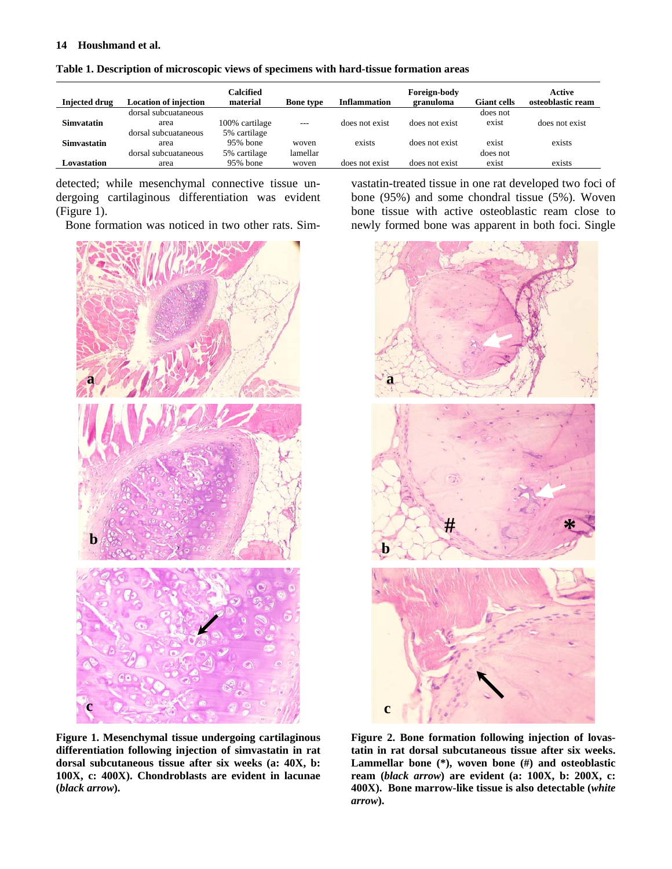#### **14 Houshmand et al.**

| osteoblastic ream |
|-------------------|
|                   |
|                   |
| does not exist    |
|                   |
| exists            |
|                   |
| exists            |
|                   |

|  |  |  |  | Table 1. Description of microscopic views of specimens with hard-tissue formation areas |
|--|--|--|--|-----------------------------------------------------------------------------------------|
|  |  |  |  |                                                                                         |

detected; while mesenchymal connective tissue undergoing cartilaginous differentiation was evident (Figure 1).

Bone formation was noticed in two other rats. Sim-



vastatin-treated tissue in one rat developed two foci of bone (95%) and some chondral tissue (5%). Woven bone tissue with active osteoblastic ream close to newly formed bone was apparent in both foci. Single



**Figure 1. Mesenchymal tissue undergoing cartilaginous differentiation following injection of simvastatin in rat dorsal subcutaneous tissue after six weeks (a: 40X, b: 100X, c: 400X). Chondroblasts are evident in lacunae (***black arrow***).** 

**Figure 2. Bone formation following injection of lovastatin in rat dorsal subcutaneous tissue after six weeks. Lammellar bone (\*), woven bone (#) and osteoblastic ream (***black arrow***) are evident (a: 100X, b: 200X, c: 400X). Bone marrow-like tissue is also detectable (***white arrow***).**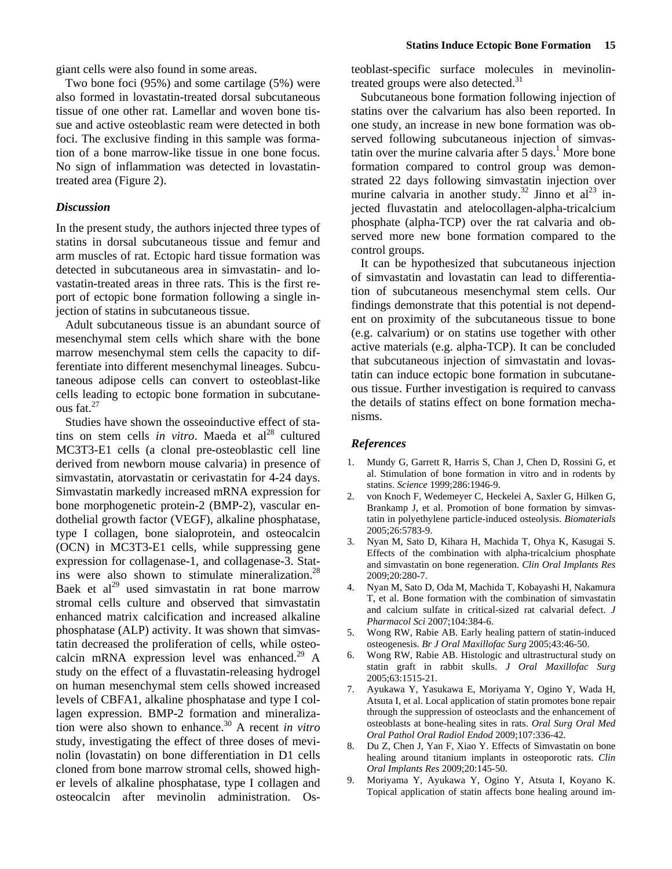giant cells were also found in some areas.

Two bone foci (95%) and some cartilage (5%) were also formed in lovastatin-treated dorsal subcutaneous tissue of one other rat. Lamellar and woven bone tissue and active osteoblastic ream were detected in both foci. The exclusive finding in this sample was formation of a bone marrow-like tissue in one bone focus. No sign of inflammation was detected in lovastatintreated area (Figure 2).

# *Discussion*

In the present study, the authors injected three types of statins in dorsal subcutaneous tissue and femur and arm muscles of rat. Ectopic hard tissue formation was detected in subcutaneous area in simvastatin- and lovastatin-treated areas in three rats. This is the first report of ectopic bone formation following a single injection of statins in subcutaneous tissue.

Adult subcutaneous tissue is an abundant source of mesenchymal stem cells which share with the bone marrow mesenchymal stem cells the capacity to differentiate into different mesenchymal lineages. Subcutaneous adipose cells can convert to osteoblast-like cells leading to ectopic bone formation in subcutaneous fat.<sup>27</sup>

Studies have shown the osseoinductive effect of statins on stem cells *in vitro*. Maeda et  $al<sup>28</sup>$  cultured MC3T3-E1 cells (a clonal pre-osteoblastic cell line derived from newborn mouse calvaria) in presence of simvastatin, atorvastatin or cerivastatin for 4-24 days. Simvastatin markedly increased mRNA expression for bone morphogenetic protein-2 (BMP-2), vascular endothelial growth factor (VEGF), alkaline phosphatase, type I collagen, bone sialoprotein, and osteocalcin (OCN) in MC3T3-E1 cells, while suppressing gene expression for collagenase-1, and collagenase-3. Statins were also shown to stimulate mineralization. $^{28}$ Baek et al<sup>29</sup> used simvastatin in rat bone marrow stromal cells culture and observed that simvastatin enhanced matrix calcification and increased alkaline phosphatase (ALP) activity. It was shown that simvastatin decreased the proliferation of cells, while osteocalcin mRNA expression level was enhanced.<sup>29</sup> A study on the effect of a fluvastatin-releasing hydrogel on human mesenchymal stem cells showed increased levels of CBFA1, alkaline phosphatase and type I collagen expression. BMP-2 formation and mineralization were also shown to enhance.30 A recent *in vitro* study, investigating the effect of three doses of mevinolin (lovastatin) on bone differentiation in D1 cells cloned from bone marrow stromal cells, showed higher levels of alkaline phosphatase, type I collagen and osteocalcin after mevinolin administration. Osteoblast-specific surface molecules in mevinolintreated groups were also detected. $31$ 

Subcutaneous bone formation following injection of statins over the calvarium has also been reported. In one study, an increase in new bone formation was observed following subcutaneous injection of simvastatin over the murine calvaria after  $5$  days.<sup>1</sup> More bone formation compared to control group was demonstrated 22 days following simvastatin injection over murine calvaria in another study.<sup>32</sup> Jinno et al<sup>23</sup> injected fluvastatin and atelocollagen-alpha-tricalcium phosphate (alpha-TCP) over the rat calvaria and observed more new bone formation compared to the control groups.

It can be hypothesized that subcutaneous injection of simvastatin and lovastatin can lead to differentiation of subcutaneous mesenchymal stem cells. Our findings demonstrate that this potential is not dependent on proximity of the subcutaneous tissue to bone (e.g. calvarium) or on statins use together with other active materials (e.g. alpha-TCP). It can be concluded that subcutaneous injection of simvastatin and lovastatin can induce ectopic bone formation in subcutaneous tissue. Further investigation is required to canvass the details of statins effect on bone formation mechanisms.

#### *References*

- 1. Mundy G, Garrett R, Harris S, Chan J, Chen D, Rossini G, et al. Stimulation of bone formation in vitro and in rodents by statins. *Science* 1999;286:1946-9.
- 2. von Knoch F, Wedemeyer C, Heckelei A, Saxler G, Hilken G, Brankamp J, et al. Promotion of bone formation by simvastatin in polyethylene particle-induced osteolysis. *Biomaterials* 2005;26:5783-9.
- 3. Nyan M, Sato D, Kihara H, Machida T, Ohya K, Kasugai S. Effects of the combination with alpha-tricalcium phosphate and simvastatin on bone regeneration. *Clin Oral Implants Res* 2009;20:280-7.
- 4. Nyan M, Sato D, Oda M, Machida T, Kobayashi H, Nakamura T, et al. Bone formation with the combination of simvastatin and calcium sulfate in critical-sized rat calvarial defect. *J Pharmacol Sci* 2007;104:384-6.
- 5. Wong RW, Rabie AB. Early healing pattern of statin-induced osteogenesis. *Br J Oral Maxillofac Surg* 2005;43:46-50.
- 6. Wong RW, Rabie AB. Histologic and ultrastructural study on statin graft in rabbit skulls. *J Oral Maxillofac Surg* 2005;63:1515-21.
- 7. Ayukawa Y, Yasukawa E, Moriyama Y, Ogino Y, Wada H, Atsuta I, et al. Local application of statin promotes bone repair through the suppression of osteoclasts and the enhancement of osteoblasts at bone-healing sites in rats. *Oral Surg Oral Med Oral Pathol Oral Radiol Endod* 2009;107:336-42.
- 8. Du Z, Chen J, Yan F, Xiao Y. Effects of Simvastatin on bone healing around titanium implants in osteoporotic rats. *Clin Oral Implants Res* 2009;20:145-50.
- 9. Moriyama Y, Ayukawa Y, Ogino Y, Atsuta I, Koyano K. Topical application of statin affects bone healing around im-